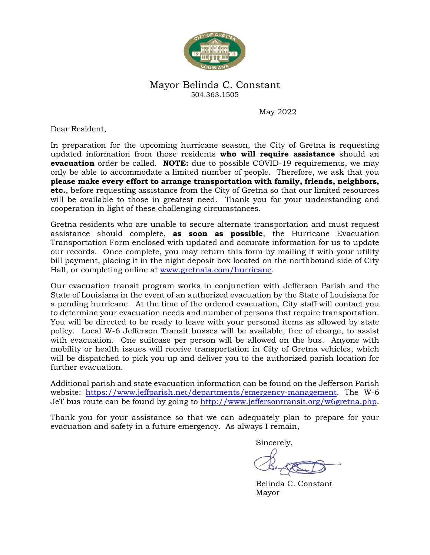

## Mayor Belinda C. Constant 504.363.1505

May 2022

Dear Resident,

In preparation for the upcoming hurricane season, the City of Gretna is requesting updated information from those residents **who will require assistance** should an **evacuation** order be called. **NOTE:** due to possible COVID-19 requirements, we may only be able to accommodate a limited number of people. Therefore, we ask that you **please make every effort to arrange transportation with family, friends, neighbors, etc.**, before requesting assistance from the City of Gretna so that our limited resources will be available to those in greatest need. Thank you for your understanding and cooperation in light of these challenging circumstances.

Gretna residents who are unable to secure alternate transportation and must request assistance should complete, **as soon as possible**, the Hurricane Evacuation Transportation Form enclosed with updated and accurate information for us to update our records. Once complete, you may return this form by mailing it with your utility bill payment, placing it in the night deposit box located on the northbound side of City Hall, or completing online at [www.gretnala.com/hurricane.](http://www.gretnala.com/hurricane)

Our evacuation transit program works in conjunction with Jefferson Parish and the State of Louisiana in the event of an authorized evacuation by the State of Louisiana for a pending hurricane. At the time of the ordered evacuation, City staff will contact you to determine your evacuation needs and number of persons that require transportation. You will be directed to be ready to leave with your personal items as allowed by state policy. Local W-6 Jefferson Transit busses will be available, free of charge, to assist with evacuation. One suitcase per person will be allowed on the bus. Anyone with mobility or health issues will receive transportation in City of Gretna vehicles, which will be dispatched to pick you up and deliver you to the authorized parish location for further evacuation.

Additional parish and state evacuation information can be found on the Jefferson Parish website: [https://www.jeffparish.net/departments/emergency-management.](https://www.jeffparish.net/departments/emergency-management) The W-6 JeT bus route can be found by going to [http://www.jeffersontransit.org/w6gretna.php.](http://www.jeffersontransit.org/w6gretna.php)

Thank you for your assistance so that we can adequately plan to prepare for your evacuation and safety in a future emergency. As always I remain,

Sincerely,

Belinda C. Constant Mayor